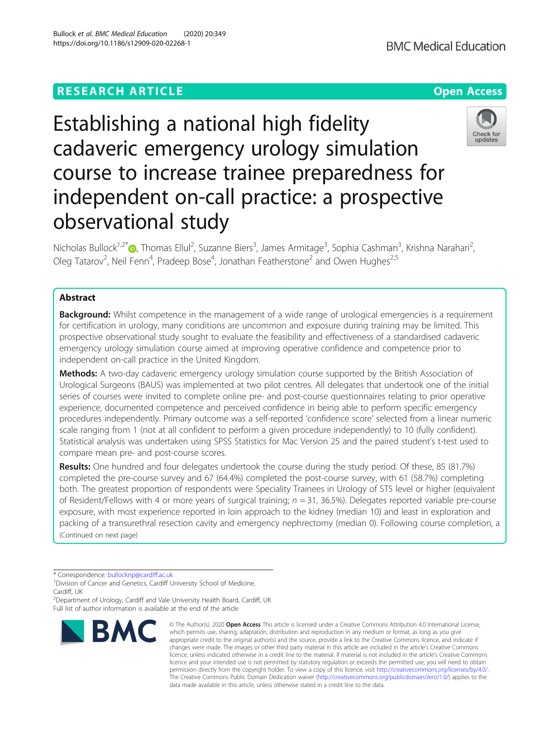# **RESEARCH ARTICLE Example 2014 12:30 The Contract of Contract ACCESS**

# Establishing a national high fidelity cadaveric emergency urology simulation course to increase trainee preparedness for independent on-call practice: a prospective observational study

Nicholas Bullock<sup>1,2[\\*](http://orcid.org/0000-0001-5435-7898)</sup>®, Thomas Ellul<sup>2</sup>, Suzanne Biers<sup>3</sup>, James Armitage<sup>3</sup>, Sophia Cashman<sup>3</sup>, Krishna Narahari<sup>2</sup> , Oleg Tatarov<sup>2</sup>, Neil Fenn<sup>4</sup>, Pradeep Bose<sup>4</sup>, Jonathan Featherstone<sup>2</sup> and Owen Hughes<sup>2,5</sup>

# Abstract

**Background:** Whilst competence in the management of a wide range of urological emergencies is a requirement for certification in urology, many conditions are uncommon and exposure during training may be limited. This prospective observational study sought to evaluate the feasibility and effectiveness of a standardised cadaveric emergency urology simulation course aimed at improving operative confidence and competence prior to independent on-call practice in the United Kingdom.

Methods: A two-day cadaveric emergency urology simulation course supported by the British Association of Urological Surgeons (BAUS) was implemented at two pilot centres. All delegates that undertook one of the initial series of courses were invited to complete online pre- and post-course questionnaires relating to prior operative experience, documented competence and perceived confidence in being able to perform specific emergency procedures independently. Primary outcome was a self-reported 'confidence score' selected from a linear numeric scale ranging from 1 (not at all confident to perform a given procedure independently) to 10 (fully confident). Statistical analysis was undertaken using SPSS Statistics for Mac Version 25 and the paired student's t-test used to compare mean pre- and post-course scores.

Results: One hundred and four delegates undertook the course during the study period. Of these, 85 (81.7%) completed the pre-course survey and 67 (64.4%) completed the post-course survey, with 61 (58.7%) completing both. The greatest proportion of respondents were Speciality Trainees in Urology of ST5 level or higher (equivalent of Resident/Fellows with 4 or more years of surgical training;  $n = 31$ , 36.5%). Delegates reported variable pre-course exposure, with most experience reported in loin approach to the kidney (median 10) and least in exploration and packing of a transurethral resection cavity and emergency nephrectomy (median 0). Following course completion, a (Continued on next page)

**BMC** 

<sup>2</sup>Department of Urology, Cardiff and Vale University Health Board, Cardiff, UK Full list of author information is available at the end of the article

© The Author(s), 2020 **Open Access** This article is licensed under a Creative Commons Attribution 4.0 International License, which permits use, sharing, adaptation, distribution and reproduction in any medium or format, as long as you give appropriate credit to the original author(s) and the source, provide a link to the Creative Commons licence, and indicate if changes were made. The images or other third party material in this article are included in the article's Creative Commons licence, unless indicated otherwise in a credit line to the material. If material is not included in the article's Creative Commons licence and your intended use is not permitted by statutory regulation or exceeds the permitted use, you will need to obtain permission directly from the copyright holder. To view a copy of this licence, visit [http://creativecommons.org/licenses/by/4.0/.](http://creativecommons.org/licenses/by/4.0/) The Creative Commons Public Domain Dedication waiver [\(http://creativecommons.org/publicdomain/zero/1.0/](http://creativecommons.org/publicdomain/zero/1.0/)) applies to the data made available in this article, unless otherwise stated in a credit line to the data.

Bullock et al. BMC Medical Education (2020) 20:349 https://doi.org/10.1186/s12909-020-02268-1





<sup>\*</sup> Correspondence: [bullocknp@cardiff.ac.uk](mailto:bullocknp@cardiff.ac.uk) <sup>1</sup>

<sup>&</sup>lt;sup>1</sup> Division of Cancer and Genetics, Cardiff University School of Medicine, Cardiff, UK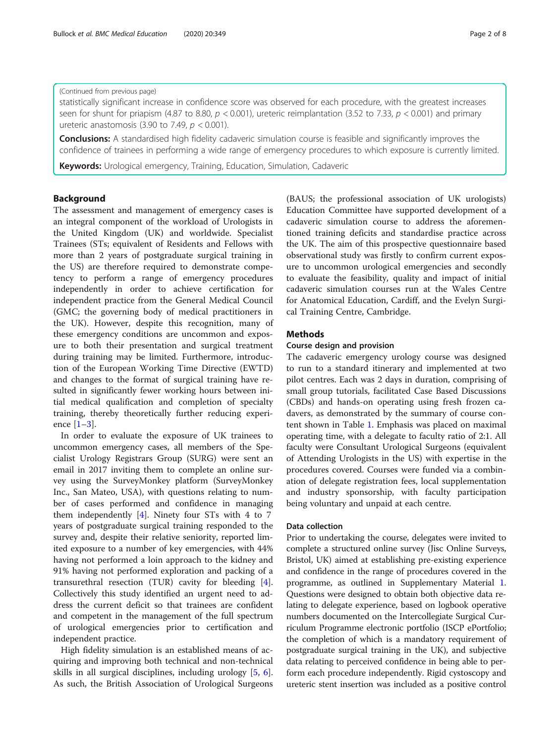#### (Continued from previous page)

statistically significant increase in confidence score was observed for each procedure, with the greatest increases seen for shunt for priapism (4.87 to 8.80,  $p < 0.001$ ), ureteric reimplantation (3.52 to 7.33,  $p < 0.001$ ) and primary ureteric anastomosis (3.90 to 7.49,  $p < 0.001$ ).

**Conclusions:** A standardised high fidelity cadaveric simulation course is feasible and significantly improves the confidence of trainees in performing a wide range of emergency procedures to which exposure is currently limited.

Keywords: Urological emergency, Training, Education, Simulation, Cadaveric

# Background

The assessment and management of emergency cases is an integral component of the workload of Urologists in the United Kingdom (UK) and worldwide. Specialist Trainees (STs; equivalent of Residents and Fellows with more than 2 years of postgraduate surgical training in the US) are therefore required to demonstrate competency to perform a range of emergency procedures independently in order to achieve certification for independent practice from the General Medical Council (GMC; the governing body of medical practitioners in the UK). However, despite this recognition, many of these emergency conditions are uncommon and exposure to both their presentation and surgical treatment during training may be limited. Furthermore, introduction of the European Working Time Directive (EWTD) and changes to the format of surgical training have resulted in significantly fewer working hours between initial medical qualification and completion of specialty training, thereby theoretically further reducing experience [\[1](#page-6-0)–[3](#page-6-0)].

In order to evaluate the exposure of UK trainees to uncommon emergency cases, all members of the Specialist Urology Registrars Group (SURG) were sent an email in 2017 inviting them to complete an online survey using the SurveyMonkey platform (SurveyMonkey Inc., San Mateo, USA), with questions relating to number of cases performed and confidence in managing them independently  $[4]$  $[4]$ . Ninety four STs with 4 to 7 years of postgraduate surgical training responded to the survey and, despite their relative seniority, reported limited exposure to a number of key emergencies, with 44% having not performed a loin approach to the kidney and 91% having not performed exploration and packing of a transurethral resection (TUR) cavity for bleeding [\[4](#page-6-0)]. Collectively this study identified an urgent need to address the current deficit so that trainees are confident and competent in the management of the full spectrum of urological emergencies prior to certification and independent practice.

High fidelity simulation is an established means of acquiring and improving both technical and non-technical skills in all surgical disciplines, including urology [\[5](#page-6-0), [6](#page-6-0)]. As such, the British Association of Urological Surgeons

(BAUS; the professional association of UK urologists) Education Committee have supported development of a cadaveric simulation course to address the aforementioned training deficits and standardise practice across the UK. The aim of this prospective questionnaire based observational study was firstly to confirm current exposure to uncommon urological emergencies and secondly to evaluate the feasibility, quality and impact of initial cadaveric simulation courses run at the Wales Centre for Anatomical Education, Cardiff, and the Evelyn Surgical Training Centre, Cambridge.

#### Methods

# Course design and provision

The cadaveric emergency urology course was designed to run to a standard itinerary and implemented at two pilot centres. Each was 2 days in duration, comprising of small group tutorials, facilitated Case Based Discussions (CBDs) and hands-on operating using fresh frozen cadavers, as demonstrated by the summary of course content shown in Table [1.](#page-2-0) Emphasis was placed on maximal operating time, with a delegate to faculty ratio of 2:1. All faculty were Consultant Urological Surgeons (equivalent of Attending Urologists in the US) with expertise in the procedures covered. Courses were funded via a combination of delegate registration fees, local supplementation and industry sponsorship, with faculty participation being voluntary and unpaid at each centre.

#### Data collection

Prior to undertaking the course, delegates were invited to complete a structured online survey (Jisc Online Surveys, Bristol, UK) aimed at establishing pre-existing experience and confidence in the range of procedures covered in the programme, as outlined in Supplementary Material [1](#page-6-0). Questions were designed to obtain both objective data relating to delegate experience, based on logbook operative numbers documented on the Intercollegiate Surgical Curriculum Programme electronic portfolio (ISCP ePortfolio; the completion of which is a mandatory requirement of postgraduate surgical training in the UK), and subjective data relating to perceived confidence in being able to perform each procedure independently. Rigid cystoscopy and ureteric stent insertion was included as a positive control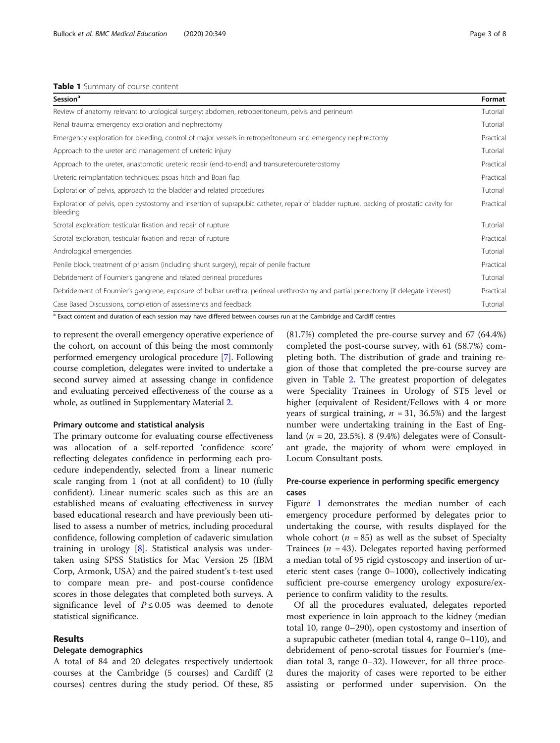#### <span id="page-2-0"></span>Table 1 Summary of course content

| Session <sup>a</sup>                                                                                                                                                                                                                                                                                                                                                                                                                                                                                                            | Format    |
|---------------------------------------------------------------------------------------------------------------------------------------------------------------------------------------------------------------------------------------------------------------------------------------------------------------------------------------------------------------------------------------------------------------------------------------------------------------------------------------------------------------------------------|-----------|
| Review of anatomy relevant to urological surgery: abdomen, retroperitoneum, pelvis and perineum                                                                                                                                                                                                                                                                                                                                                                                                                                 | Tutorial  |
| Renal trauma: emergency exploration and nephrectomy                                                                                                                                                                                                                                                                                                                                                                                                                                                                             | Tutorial  |
| Emergency exploration for bleeding, control of major vessels in retroperitoneum and emergency nephrectomy                                                                                                                                                                                                                                                                                                                                                                                                                       | Practical |
| Approach to the ureter and management of ureteric injury                                                                                                                                                                                                                                                                                                                                                                                                                                                                        | Tutorial  |
| Approach to the ureter, anastomotic ureteric repair (end-to-end) and transureteroureterostomy                                                                                                                                                                                                                                                                                                                                                                                                                                   | Practical |
| Ureteric reimplantation techniques: psoas hitch and Boari flap                                                                                                                                                                                                                                                                                                                                                                                                                                                                  | Practical |
| Exploration of pelvis, approach to the bladder and related procedures                                                                                                                                                                                                                                                                                                                                                                                                                                                           | Tutorial  |
| Exploration of pelvis, open cystostomy and insertion of suprapubic catheter, repair of bladder rupture, packing of prostatic cavity for<br>bleeding                                                                                                                                                                                                                                                                                                                                                                             | Practical |
| Scrotal exploration: testicular fixation and repair of rupture                                                                                                                                                                                                                                                                                                                                                                                                                                                                  | Tutorial  |
| Scrotal exploration, testicular fixation and repair of rupture                                                                                                                                                                                                                                                                                                                                                                                                                                                                  | Practical |
| Andrological emergencies                                                                                                                                                                                                                                                                                                                                                                                                                                                                                                        | Tutorial  |
| Penile block, treatment of priapism (including shunt surgery), repair of penile fracture                                                                                                                                                                                                                                                                                                                                                                                                                                        | Practical |
| Debridement of Fournier's gangrene and related perineal procedures                                                                                                                                                                                                                                                                                                                                                                                                                                                              | Tutorial  |
| Debridement of Fournier's gangrene, exposure of bulbar urethra, perineal urethrostomy and partial penectomy (if delegate interest)                                                                                                                                                                                                                                                                                                                                                                                              | Practical |
| Case Based Discussions, completion of assessments and feedback                                                                                                                                                                                                                                                                                                                                                                                                                                                                  | Tutorial  |
| arrest and the state of the state of the state of the state of the state of the state of the state of the state of the state of the state of the state of the state of the state of the state of the state of the state of the<br>$\sim$ 1 $\sim$ 1 $\sim$ 1 $\sim$ 1 $\sim$ 1 $\sim$ 1 $\sim$ 1 $\sim$ 1 $\sim$ 1 $\sim$ 1 $\sim$ 1 $\sim$ 1 $\sim$ 1 $\sim$ 1 $\sim$ 1 $\sim$ 1 $\sim$ 1 $\sim$ 1 $\sim$ 1 $\sim$ 1 $\sim$ 1 $\sim$ 1 $\sim$ 1 $\sim$ 1 $\sim$ 1 $\sim$ 1 $\sim$ 1 $\sim$ 1 $\sim$ 1 $\sim$ 1 $\sim$ 1 $\sim$ |           |

Exact content and duration of each session may have differed between courses run at the Cambridge and Cardiff centres

to represent the overall emergency operative experience of the cohort, on account of this being the most commonly performed emergency urological procedure [\[7\]](#page-7-0). Following course completion, delegates were invited to undertake a second survey aimed at assessing change in confidence and evaluating perceived effectiveness of the course as a whole, as outlined in Supplementary Material [2.](#page-6-0)

#### Primary outcome and statistical analysis

The primary outcome for evaluating course effectiveness was allocation of a self-reported 'confidence score' reflecting delegates confidence in performing each procedure independently, selected from a linear numeric scale ranging from 1 (not at all confident) to 10 (fully confident). Linear numeric scales such as this are an established means of evaluating effectiveness in survey based educational research and have previously been utilised to assess a number of metrics, including procedural confidence, following completion of cadaveric simulation training in urology [\[8](#page-7-0)]. Statistical analysis was undertaken using SPSS Statistics for Mac Version 25 (IBM Corp, Armonk, USA) and the paired student's t-test used to compare mean pre- and post-course confidence scores in those delegates that completed both surveys. A significance level of  $P \le 0.05$  was deemed to denote statistical significance.

# Results

#### Delegate demographics

A total of 84 and 20 delegates respectively undertook courses at the Cambridge (5 courses) and Cardiff (2 courses) centres during the study period. Of these, 85 (81.7%) completed the pre-course survey and 67 (64.4%) completed the post-course survey, with 61 (58.7%) completing both. The distribution of grade and training region of those that completed the pre-course survey are given in Table [2](#page-3-0). The greatest proportion of delegates were Speciality Trainees in Urology of ST5 level or higher (equivalent of Resident/Fellows with 4 or more years of surgical training,  $n = 31, 36.5\%$  and the largest number were undertaking training in the East of England  $(n = 20, 23.5\%)$ . 8 (9.4%) delegates were of Consultant grade, the majority of whom were employed in Locum Consultant posts.

# Pre-course experience in performing specific emergency cases

Figure [1](#page-3-0) demonstrates the median number of each emergency procedure performed by delegates prior to undertaking the course, with results displayed for the whole cohort ( $n = 85$ ) as well as the subset of Specialty Trainees ( $n = 43$ ). Delegates reported having performed a median total of 95 rigid cystoscopy and insertion of ureteric stent cases (range 0–1000), collectively indicating sufficient pre-course emergency urology exposure/experience to confirm validity to the results.

Of all the procedures evaluated, delegates reported most experience in loin approach to the kidney (median total 10, range 0–290), open cystostomy and insertion of a suprapubic catheter (median total 4, range 0–110), and debridement of peno-scrotal tissues for Fournier's (median total 3, range 0–32). However, for all three procedures the majority of cases were reported to be either assisting or performed under supervision. On the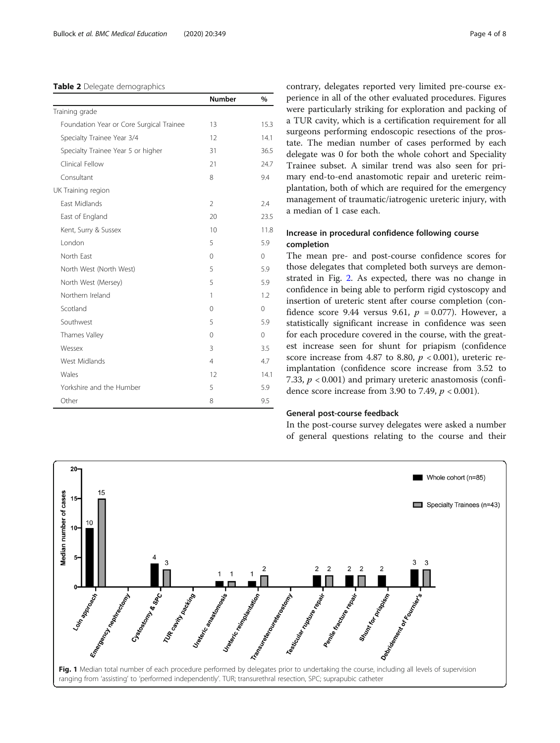# <span id="page-3-0"></span>Table 2 Delegate demographics

|                                          | <b>Number</b>  | %        |
|------------------------------------------|----------------|----------|
| Training grade                           |                |          |
| Foundation Year or Core Surgical Trainee | 13             | 15.3     |
| Specialty Trainee Year 3/4               | 12             | 14.1     |
| Specialty Trainee Year 5 or higher       | 31             | 36.5     |
| Clinical Fellow                          | 21             | 24.7     |
| Consultant                               | 8              | 9.4      |
| UK Training region                       |                |          |
| <b>Fast Midlands</b>                     | $\mathfrak{D}$ | 2.4      |
| East of England                          | 20             | 23.5     |
| Kent, Surry & Sussex                     | 10             | 11.8     |
| London                                   | 5              | 5.9      |
| North East                               | $\Omega$       | $\Omega$ |
| North West (North West)                  | 5              | 5.9      |
| North West (Mersey)                      | 5              | 5.9      |
| Northern Ireland                         | 1              | 1.2      |
| Scotland                                 | $\Omega$       | $\Omega$ |
| Southwest                                | 5              | 5.9      |
| Thames Valley                            | $\Omega$       | $\Omega$ |
| Wessex                                   | 3              | 3.5      |
| West Midlands                            | $\overline{4}$ | 4.7      |
| Wales                                    | 12             | 14.1     |
| Yorkshire and the Humber                 | 5              | 5.9      |
| Other                                    | 8              | 9.5      |

contrary, delegates reported very limited pre-course experience in all of the other evaluated procedures. Figures were particularly striking for exploration and packing of a TUR cavity, which is a certification requirement for all surgeons performing endoscopic resections of the prostate. The median number of cases performed by each delegate was 0 for both the whole cohort and Speciality Trainee subset. A similar trend was also seen for primary end-to-end anastomotic repair and ureteric reimplantation, both of which are required for the emergency management of traumatic/iatrogenic ureteric injury, with a median of 1 case each.

# Increase in procedural confidence following course completion

The mean pre- and post-course confidence scores for those delegates that completed both surveys are demonstrated in Fig. [2](#page-4-0). As expected, there was no change in confidence in being able to perform rigid cystoscopy and insertion of ureteric stent after course completion (confidence score 9.44 versus 9.61,  $p = 0.077$ ). However, a statistically significant increase in confidence was seen for each procedure covered in the course, with the greatest increase seen for shunt for priapism (confidence score increase from 4.87 to 8.80,  $p < 0.001$ ), ureteric reimplantation (confidence score increase from 3.52 to 7.33,  $p < 0.001$ ) and primary ureteric anastomosis (confidence score increase from 3.90 to 7.49,  $p < 0.001$ ).

#### General post-course feedback

In the post-course survey delegates were asked a number of general questions relating to the course and their

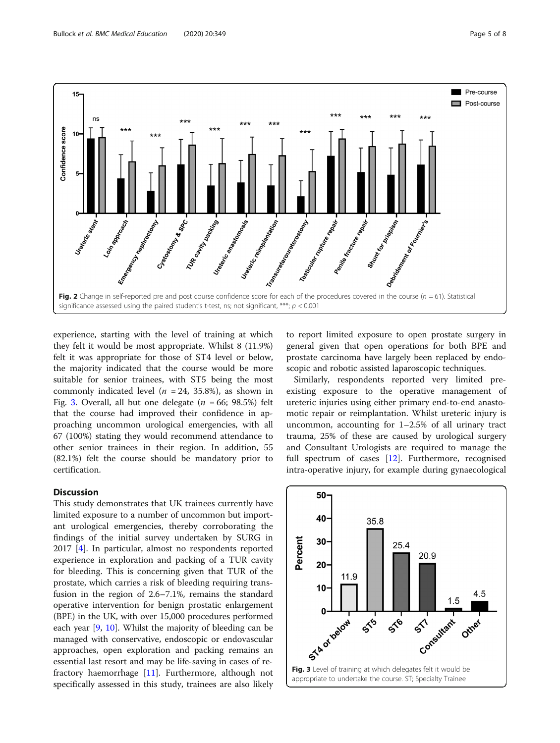<span id="page-4-0"></span>

experience, starting with the level of training at which they felt it would be most appropriate. Whilst 8 (11.9%) felt it was appropriate for those of ST4 level or below, the majority indicated that the course would be more suitable for senior trainees, with ST5 being the most commonly indicated level ( $n = 24$ , 35.8%), as shown in Fig. 3. Overall, all but one delegate  $(n = 66; 98.5%)$  felt that the course had improved their confidence in approaching uncommon urological emergencies, with all 67 (100%) stating they would recommend attendance to other senior trainees in their region. In addition, 55 (82.1%) felt the course should be mandatory prior to certification.

# Discussion

This study demonstrates that UK trainees currently have limited exposure to a number of uncommon but important urological emergencies, thereby corroborating the findings of the initial survey undertaken by SURG in 2017 [[4](#page-6-0)]. In particular, almost no respondents reported experience in exploration and packing of a TUR cavity for bleeding. This is concerning given that TUR of the prostate, which carries a risk of bleeding requiring transfusion in the region of 2.6–7.1%, remains the standard operative intervention for benign prostatic enlargement (BPE) in the UK, with over 15,000 procedures performed each year [[9,](#page-7-0) [10](#page-7-0)]. Whilst the majority of bleeding can be managed with conservative, endoscopic or endovascular approaches, open exploration and packing remains an essential last resort and may be life-saving in cases of refractory haemorrhage [[11\]](#page-7-0). Furthermore, although not specifically assessed in this study, trainees are also likely

to report limited exposure to open prostate surgery in general given that open operations for both BPE and prostate carcinoma have largely been replaced by endoscopic and robotic assisted laparoscopic techniques.

Similarly, respondents reported very limited preexisting exposure to the operative management of ureteric injuries using either primary end-to-end anastomotic repair or reimplantation. Whilst ureteric injury is uncommon, accounting for 1–2.5% of all urinary tract trauma, 25% of these are caused by urological surgery and Consultant Urologists are required to manage the full spectrum of cases [\[12\]](#page-7-0). Furthermore, recognised intra-operative injury, for example during gynaecological

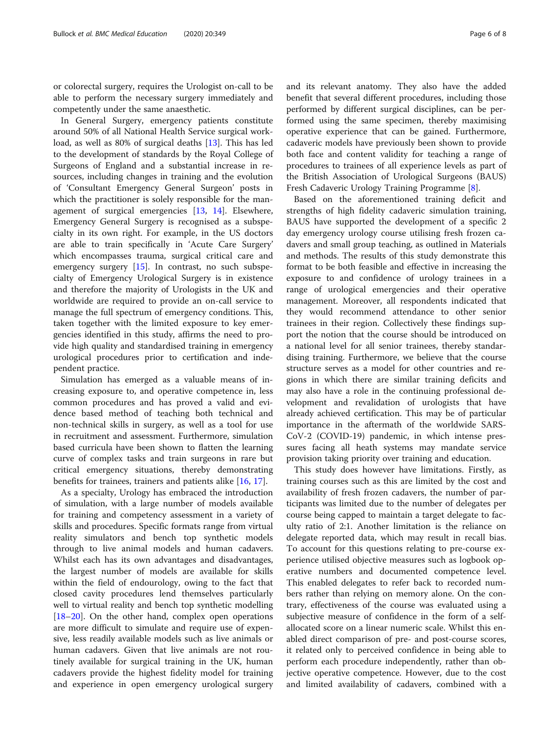or colorectal surgery, requires the Urologist on-call to be able to perform the necessary surgery immediately and competently under the same anaesthetic.

In General Surgery, emergency patients constitute around 50% of all National Health Service surgical workload, as well as 80% of surgical deaths [\[13](#page-7-0)]. This has led to the development of standards by the Royal College of Surgeons of England and a substantial increase in resources, including changes in training and the evolution of 'Consultant Emergency General Surgeon' posts in which the practitioner is solely responsible for the management of surgical emergencies [\[13](#page-7-0), [14](#page-7-0)]. Elsewhere, Emergency General Surgery is recognised as a subspecialty in its own right. For example, in the US doctors are able to train specifically in 'Acute Care Surgery' which encompasses trauma, surgical critical care and emergency surgery [\[15](#page-7-0)]. In contrast, no such subspecialty of Emergency Urological Surgery is in existence and therefore the majority of Urologists in the UK and worldwide are required to provide an on-call service to manage the full spectrum of emergency conditions. This, taken together with the limited exposure to key emergencies identified in this study, affirms the need to provide high quality and standardised training in emergency urological procedures prior to certification and independent practice.

Simulation has emerged as a valuable means of increasing exposure to, and operative competence in, less common procedures and has proved a valid and evidence based method of teaching both technical and non-technical skills in surgery, as well as a tool for use in recruitment and assessment. Furthermore, simulation based curricula have been shown to flatten the learning curve of complex tasks and train surgeons in rare but critical emergency situations, thereby demonstrating benefits for trainees, trainers and patients alike [[16,](#page-7-0) [17](#page-7-0)].

As a specialty, Urology has embraced the introduction of simulation, with a large number of models available for training and competency assessment in a variety of skills and procedures. Specific formats range from virtual reality simulators and bench top synthetic models through to live animal models and human cadavers. Whilst each has its own advantages and disadvantages, the largest number of models are available for skills within the field of endourology, owing to the fact that closed cavity procedures lend themselves particularly well to virtual reality and bench top synthetic modelling [[18](#page-7-0)–[20](#page-7-0)]. On the other hand, complex open operations are more difficult to simulate and require use of expensive, less readily available models such as live animals or human cadavers. Given that live animals are not routinely available for surgical training in the UK, human cadavers provide the highest fidelity model for training and experience in open emergency urological surgery and its relevant anatomy. They also have the added benefit that several different procedures, including those performed by different surgical disciplines, can be performed using the same specimen, thereby maximising operative experience that can be gained. Furthermore, cadaveric models have previously been shown to provide both face and content validity for teaching a range of procedures to trainees of all experience levels as part of the British Association of Urological Surgeons (BAUS) Fresh Cadaveric Urology Training Programme [[8\]](#page-7-0).

Based on the aforementioned training deficit and strengths of high fidelity cadaveric simulation training, BAUS have supported the development of a specific 2 day emergency urology course utilising fresh frozen cadavers and small group teaching, as outlined in Materials and methods. The results of this study demonstrate this format to be both feasible and effective in increasing the exposure to and confidence of urology trainees in a range of urological emergencies and their operative management. Moreover, all respondents indicated that they would recommend attendance to other senior trainees in their region. Collectively these findings support the notion that the course should be introduced on a national level for all senior trainees, thereby standardising training. Furthermore, we believe that the course structure serves as a model for other countries and regions in which there are similar training deficits and may also have a role in the continuing professional development and revalidation of urologists that have already achieved certification. This may be of particular importance in the aftermath of the worldwide SARS-CoV-2 (COVID-19) pandemic, in which intense pressures facing all heath systems may mandate service provision taking priority over training and education.

This study does however have limitations. Firstly, as training courses such as this are limited by the cost and availability of fresh frozen cadavers, the number of participants was limited due to the number of delegates per course being capped to maintain a target delegate to faculty ratio of 2:1. Another limitation is the reliance on delegate reported data, which may result in recall bias. To account for this questions relating to pre-course experience utilised objective measures such as logbook operative numbers and documented competence level. This enabled delegates to refer back to recorded numbers rather than relying on memory alone. On the contrary, effectiveness of the course was evaluated using a subjective measure of confidence in the form of a selfallocated score on a linear numeric scale. Whilst this enabled direct comparison of pre- and post-course scores, it related only to perceived confidence in being able to perform each procedure independently, rather than objective operative competence. However, due to the cost and limited availability of cadavers, combined with a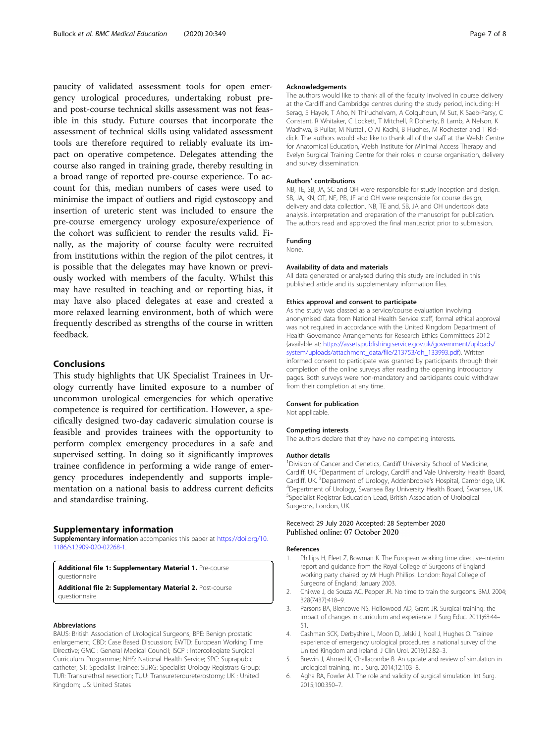<span id="page-6-0"></span>paucity of validated assessment tools for open emergency urological procedures, undertaking robust preand post-course technical skills assessment was not feasible in this study. Future courses that incorporate the assessment of technical skills using validated assessment tools are therefore required to reliably evaluate its impact on operative competence. Delegates attending the course also ranged in training grade, thereby resulting in a broad range of reported pre-course experience. To account for this, median numbers of cases were used to minimise the impact of outliers and rigid cystoscopy and insertion of ureteric stent was included to ensure the pre-course emergency urology exposure/experience of the cohort was sufficient to render the results valid. Finally, as the majority of course faculty were recruited from institutions within the region of the pilot centres, it is possible that the delegates may have known or previously worked with members of the faculty. Whilst this may have resulted in teaching and or reporting bias, it may have also placed delegates at ease and created a more relaxed learning environment, both of which were frequently described as strengths of the course in written feedback.

# Conclusions

This study highlights that UK Specialist Trainees in Urology currently have limited exposure to a number of uncommon urological emergencies for which operative competence is required for certification. However, a specifically designed two-day cadaveric simulation course is feasible and provides trainees with the opportunity to perform complex emergency procedures in a safe and supervised setting. In doing so it significantly improves trainee confidence in performing a wide range of emergency procedures independently and supports implementation on a national basis to address current deficits and standardise training.

#### Supplementary information

Supplementary information accompanies this paper at [https://doi.org/10.](https://doi.org/10.1186/s12909-020-02268-1) [1186/s12909-020-02268-1](https://doi.org/10.1186/s12909-020-02268-1).

### Additional file 1: Supplementary Material 1. Pre-course questionnaire

Additional file 2: Supplementary Material 2. Post-course questionnaire

#### Abbreviations

BAUS: British Association of Urological Surgeons; BPE: Benign prostatic enlargement; CBD: Case Based Discussion; EWTD: European Working Time Directive; GMC : General Medical Council; ISCP : Intercollegiate Surgical Curriculum Programme; NHS: National Health Service; SPC: Suprapubic catheter; ST: Specialist Trainee; SURG: Specialist Urology Registrars Group; TUR: Transurethral resection; TUU: Transureteroureterostomy; UK : United Kingdom; US: United States

#### Acknowledgements

The authors would like to thank all of the faculty involved in course delivery at the Cardiff and Cambridge centres during the study period, including: H Serag, S Hayek, T Aho, N Thiruchelvam, A Colquhoun, M Sut, K Saeb-Parsy, C Constant, R Whitaker, C Lockett, T Mitchell, R Doherty, B Lamb, A Nelson, K Wadhwa, B Pullar, M Nuttall, O Al Kadhi, B Hughes, M Rochester and T Riddick. The authors would also like to thank all of the staff at the Welsh Centre for Anatomical Education, Welsh Institute for Minimal Access Therapy and Evelyn Surgical Training Centre for their roles in course organisation, delivery and survey dissemination.

#### Authors' contributions

NB, TE, SB, JA, SC and OH were responsible for study inception and design. SB, JA, KN, OT, NF, PB, JF and OH were responsible for course design, delivery and data collection. NB, TE and, SB, JA and OH undertook data analysis, interpretation and preparation of the manuscript for publication. The authors read and approved the final manuscript prior to submission.

#### Funding

None.

#### Availability of data and materials

All data generated or analysed during this study are included in this published article and its supplementary information files.

#### Ethics approval and consent to participate

As the study was classed as a service/course evaluation involving anonymised data from National Health Service staff, formal ethical approval was not required in accordance with the United Kingdom Department of Health Governance Arrangements for Research Ethics Committees 2012 (available at: [https://assets.publishing.service.gov.uk/government/uploads/](https://assets.publishing.service.gov.uk/government/uploads/system/uploads/attachment_data/file/213753/dh_133993.pdf) [system/uploads/attachment\\_data/file/213753/dh\\_133993.pdf](https://assets.publishing.service.gov.uk/government/uploads/system/uploads/attachment_data/file/213753/dh_133993.pdf)). Written informed consent to participate was granted by participants through their completion of the online surveys after reading the opening introductory pages. Both surveys were non-mandatory and participants could withdraw from their completion at any time.

#### Consent for publication

Not applicable.

#### Competing interests

The authors declare that they have no competing interests.

#### Author details

<sup>1</sup> Division of Cancer and Genetics, Cardiff University School of Medicine, Cardiff, UK. <sup>2</sup>Department of Urology, Cardiff and Vale University Health Board Cardiff, UK. <sup>3</sup>Department of Urology, Addenbrooke's Hospital, Cambridge, UK.<br><sup>4</sup>Department of Urology, Swapsoa Bay University Hoalth Board, Swapsoa, UK. Department of Urology, Swansea Bay University Health Board, Swansea, UK. 5 Specialist Registrar Education Lead, British Association of Urological Surgeons, London, UK.

# Received: 29 July 2020 Accepted: 28 September 2020 Published online: 07 October 2020

#### References

- 1. Phillips H, Fleet Z, Bowman K. The European working time directive–interim report and guidance from the Royal College of Surgeons of England working party chaired by Mr Hugh Phillips. London: Royal College of Surgeons of England; January 2003.
- 2. Chikwe J, de Souza AC, Pepper JR. No time to train the surgeons. BMJ. 2004; 328(7437):418–9.
- 3. Parsons BA, Blencowe NS, Hollowood AD, Grant JR. Surgical training: the impact of changes in curriculum and experience. J Surg Educ. 2011;68:44– 51.
- 4. Cashman SCK, Derbyshire L, Moon D, Jelski J, Noel J, Hughes O. Trainee experience of emergency urological procedures: a national survey of the United Kingdom and Ireland. J Clin Urol. 2019;12:82–3.
- 5. Brewin J, Ahmed K, Challacombe B. An update and review of simulation in urological training. Int J Surg. 2014;12:103–8.
- 6. Agha RA, Fowler AJ. The role and validity of surgical simulation. Int Surg. 2015;100:350–7.